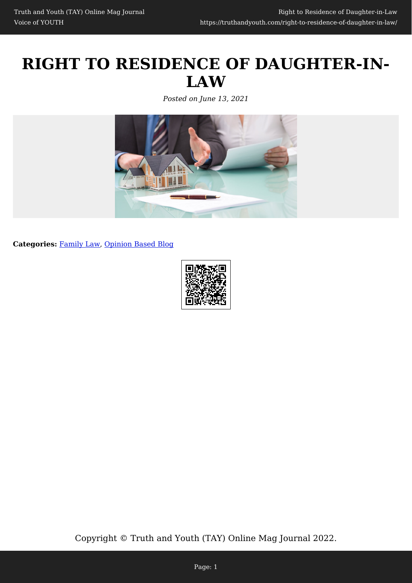# **RIGHT TO RESIDENCE OF DAUGHTER-IN-LAW**

*Posted on June 13, 2021*



**Categories:** [Family Law,](https://truthandyouth.com/category/family-law/) [Opinion Based Blog](https://truthandyouth.com/category/opinion-based-blog/)



Copyright © Truth and Youth (TAY) Online Mag Journal 2022.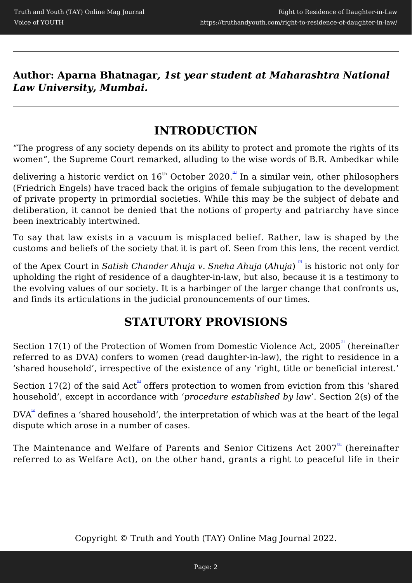**Author: Aparna Bhatnagar***, 1st year student at Maharashtra National Law University, Mumbai.*

#### **INTRODUCTION**

"The progress of any society depends on its ability to protect and promote the rights of its women", the Supreme Court remarked, alluding to the wise words of B.R. Ambedkar while

delivering a historic verdict on  $16^{\text{th}}$  October 2020. $\degree$  In a similar vein, other philosophers (Friedrich Engels) have traced back the origins of female subjugation to the development of private property in primordial societies. While this may be the subject of debate and deliberation, it cannot be denied that the notions of property and patriarchy have since been inextricably intertwined.

To say that law exists in a vacuum is misplaced belief. Rather, law is shaped by the customs and beliefs of the society that it is part of. Seen from this lens, the recent verdict

of the Apex Court in *Satish Chander Ahuja v. Sneha Ahuja (Ahuja)* is historic not only for upholding the right of residence of a daughter-in-law, but also, because it is a testimony to the evolving values of our society. It is a harbinger of the larger change that confronts us, and finds its articulations in the judicial pronouncements of our times.

## **STATUTORY PROVISIONS**

Section 17(1) of the Protection of Women from Domestic Violence Act, 2005<sup>a</sup> (hereinafter referred to as DVA) confers to women (read daughter-in-law), the right to residence in a 'shared household', irrespective of the existence of any 'right, title or beneficial interest.'

Section  $17(2)$  of the said Act<sup>"</sup> offers protection to women from eviction from this 'shared household', except in accordance with '*procedure established by law*'. Section 2(s) of the

 $DVA^{\text{S}}$  defines a 'shared household', the interpretation of which was at the heart of the legal dispute which arose in a number of cases.

The Maintenance and Welfare of Parents and Senior Citizens Act 2007<sup>61</sup> (hereinafter referred to as Welfare Act), on the other hand, grants a right to peaceful life in their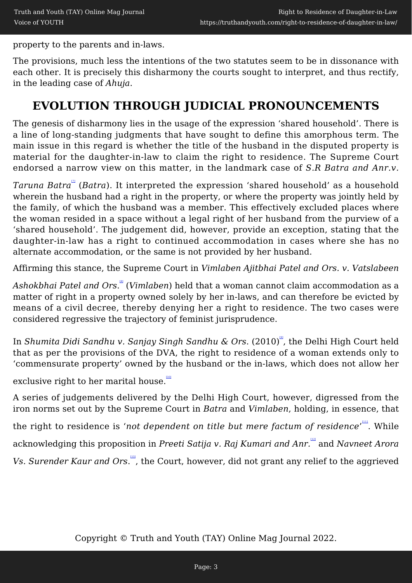property to the parents and in-laws.

The provisions, much less the intentions of the two statutes seem to be in dissonance with each other. It is precisely this disharmony the courts sought to interpret, and thus rectify, in the leading case of *Ahuja*.

## **EVOLUTION THROUGH JUDICIAL PRONOUNCEMENTS**

The genesis of disharmony lies in the usage of the expression 'shared household'. There is a line of long-standing judgments that have sought to define this amorphous term. The main issue in this regard is whether the title of the husband in the disputed property is material for the daughter-in-law to claim the right to residence. The Supreme Court endorsed a narrow view on this matter, in the landmark case of *S.R Batra and Anr.v.*

Taruna Batra<sup>"</sup> (Batra). It interpreted the expression 'shared household' as a household wherein the husband had a right in the property, or where the property was jointly held by the family, of which the husband was a member. This effectively excluded places where the woman resided in a space without a legal right of her husband from the purview of a 'shared household'. The judgement did, however, provide an exception, stating that the daughter-in-law has a right to continued accommodation in cases where she has no alternate accommodation, or the same is not provided by her husband.

Affirming this stance, the Supreme Court in *Vimlaben Ajitbhai Patel and Ors. v. Vatslabeen*

*Ashokbhai Patel and Ors*. [\[8\]](#page--1-0) (*Vimlaben*) held that a woman cannot claim accommodation as a matter of right in a property owned solely by her in-laws, and can therefore be evicted by means of a civil decree, thereby denying her a right to residence. The two cases were considered regressive the trajectory of feminist jurisprudence.

In Shumita Didi Sandhu v. Sanjay Singh Sandhu & Ors. (2010)<sup>a</sup>, the Delhi High Court held that as per the provisions of the DVA, the right to residence of a woman extends only to 'commensurate property' owned by the husband or the in-laws, which does not allow her

exclusive right to her marital house.

A series of judgements delivered by the Delhi High Court, however, digressed from the iron norms set out by the Supreme Court in *Batra* and *Vimlaben*, holding, in essence, that

the right to residence is 'not dependent on title but mere factum of residence'<sup>""</sup>. While

acknowledging this proposition in *Preeti Satija v. Raj Kumari and Anr.* [\[12\]](#page--1-0) and *Navneet Arora*

Vs. Surender Kaur and Ors.<sup>"</sup>, the Court, however, did not grant any relief to the aggrieved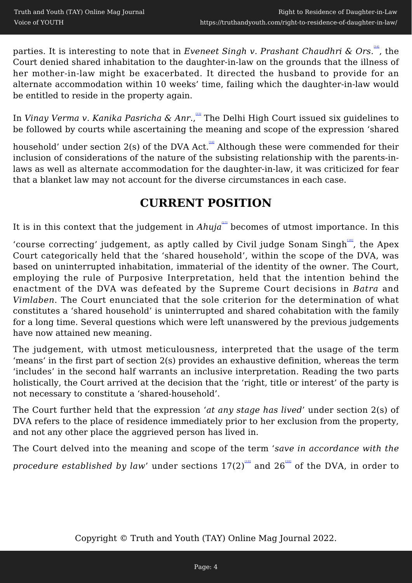parties. It is interesting to note that in *Eveneet Singh v. Prashant Chaudhri & Ors*.", the Court denied shared inhabitation to the daughter-in-law on the grounds that the illness of her mother-in-law might be exacerbated. It directed the husband to provide for an alternate accommodation within 10 weeks' time, failing which the daughter-in-law would be entitled to reside in the property again.

In *Vinay Verma v. Kanika Pasricha & Anr.*, The Delhi High Court issued six guidelines to be followed by courts while ascertaining the meaning and scope of the expression 'shared

household' under section 2(s) of the DVA Act. <sup>an</sup> Although these were commended for their inclusion of considerations of the nature of the subsisting relationship with the parents-inlaws as well as alternate accommodation for the daughter-in-law, it was criticized for fear that a blanket law may not account for the diverse circumstances in each case.

#### **CURRENT POSITION**

It is in this context that the judgement in  $Ahuja^{(12)}$  becomes of utmost importance. In this

'course correcting' judgement, as aptly called by Civil judge Sonam Singh<sup>""</sup>, the Apex Court categorically held that the 'shared household', within the scope of the DVA, was based on uninterrupted inhabitation, immaterial of the identity of the owner. The Court, employing the rule of Purposive Interpretation, held that the intention behind the enactment of the DVA was defeated by the Supreme Court decisions in *Batra* and *Vimlaben*. The Court enunciated that the sole criterion for the determination of what constitutes a 'shared household' is uninterrupted and shared cohabitation with the family for a long time. Several questions which were left unanswered by the previous judgements have now attained new meaning.

The judgement, with utmost meticulousness, interpreted that the usage of the term 'means' in the first part of section 2(s) provides an exhaustive definition, whereas the term 'includes' in the second half warrants an inclusive interpretation. Reading the two parts holistically, the Court arrived at the decision that the 'right, title or interest' of the party is not necessary to constitute a 'shared-household'.

The Court further held that the expression '*at any stage has lived*' under section 2(s) of DVA refers to the place of residence immediately prior to her exclusion from the property, and not any other place the aggrieved person has lived in.

The Court delved into the meaning and scope of the term '*save in accordance with the*

*procedure established by law'* under sections 17(2)<sup>[\[19\]](#page--1-0)</sup> and 26<sup>[\[20\]](#page--1-0)</sup> of the DVA, in order to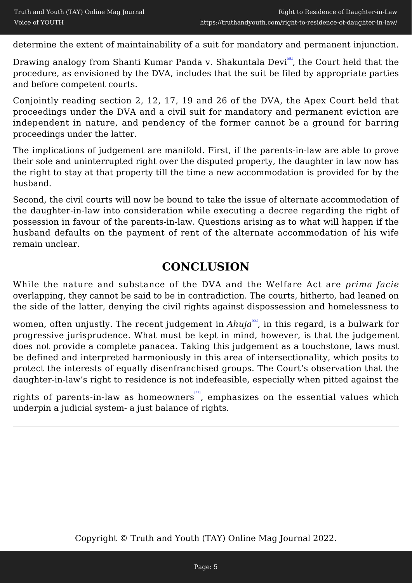determine the extent of maintainability of a suit for mandatory and permanent injunction.

Drawing analogy from Shanti Kumar Panda v. Shakuntala Devi<sup>"</sup>, the Court held that the procedure, as envisioned by the DVA, includes that the suit be filed by appropriate parties and before competent courts.

Conjointly reading section 2, 12, 17, 19 and 26 of the DVA, the Apex Court held that proceedings under the DVA and a civil suit for mandatory and permanent eviction are independent in nature, and pendency of the former cannot be a ground for barring proceedings under the latter.

The implications of judgement are manifold. First, if the parents-in-law are able to prove their sole and uninterrupted right over the disputed property, the daughter in law now has the right to stay at that property till the time a new accommodation is provided for by the husband.

Second, the civil courts will now be bound to take the issue of alternate accommodation of the daughter-in-law into consideration while executing a decree regarding the right of possession in favour of the parents-in-law. Questions arising as to what will happen if the husband defaults on the payment of rent of the alternate accommodation of his wife remain unclear.

#### **CONCLUSION**

While the nature and substance of the DVA and the Welfare Act are *prima facie* overlapping, they cannot be said to be in contradiction. The courts, hitherto, had leaned on the side of the latter, denying the civil rights against dispossession and homelessness to

women, often unjustly. The recent judgement in *Ahuja<sup>na</sup>*, in this regard, is a bulwark for progressive jurisprudence. What must be kept in mind, however, is that the judgement does not provide a complete panacea. Taking this judgement as a touchstone, laws must be defined and interpreted harmoniously in this area of intersectionality, which posits to protect the interests of equally disenfranchised groups. The Court's observation that the daughter-in-law's right to residence is not indefeasible, especially when pitted against the

rights of parents-in-law as homeowners<sup>231</sup>, emphasizes on the essential values which underpin a judicial system- a just balance of rights.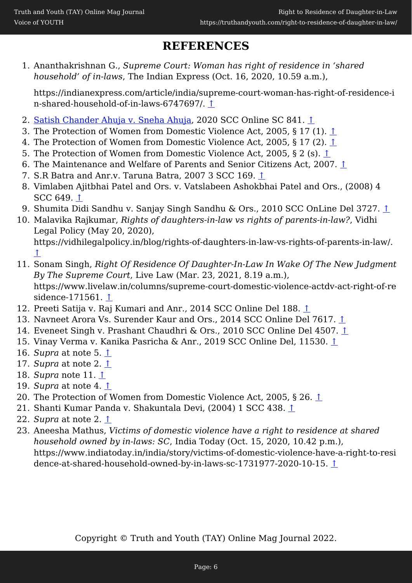#### **REFERENCES**

1. Ananthakrishnan G., *Supreme Court: Woman has right of residence in 'shared household' of in-laws*, The Indian Express (Oct. 16, 2020, 10.59 a.m.),

https://indianexpress.com/article/india/supreme-court-woman-has-right-of-residence-i n-shared-household-of-in-laws-6747697/. [↑](#page--1-0)

- 2. [Satish Chander Ahuja v. Sneha Ahuja,](https://www.livelaw.in/pdf_upload/pdf_upload-382885.pdf) 2020 SCC Online SC 841. [↑](#page--1-0)
- 3. The Protection of Women from Domestic Violence Act, 2005, § 17 (1).  $\hat{\perp}$
- 4. The Protection of Women from Domestic Violence Act, 2005, § 17 (2).  $\hat{\perp}$
- 5. The Protection of Women from Domestic Violence Act, 2005, § 2 (s). [↑](#page--1-0)
- 6. The Maintenance and Welfare of Parents and Senior Citizens Act, 2007. [↑](#page--1-0)
- 7. S.R Batra and Anr.v. Taruna Batra, 2007 3 SCC 169. [↑](#page--1-0)
- 8. Vimlaben Ajitbhai Patel and Ors. v. Vatslabeen Ashokbhai Patel and Ors., (2008) 4 SCC 649. [↑](#page--1-0)
- 9. Shumita Didi Sandhu v. Sanjay Singh Sandhu & Ors., 2010 SCC OnLine Del 3727. [↑](#page--1-0)
- 10. Malavika Rajkumar, *Rights of daughters-in-law vs rights of parents-in-law?*, Vidhi Legal Policy (May 20, 2020),

https://vidhilegalpolicy.in/blog/rights-of-daughters-in-law-vs-rights-of-parents-in-law/. [↑](#page--1-0)

- 11. Sonam Singh, *Right Of Residence Of Daughter-In-Law In Wake Of The New Judgment By The Supreme Court*, Live Law (Mar. 23, 2021, 8.19 a.m.), https://www.livelaw.in/columns/supreme-court-domestic-violence-actdv-act-right-of-re sidence-171561. [↑](#page--1-0)
- 12. Preeti Satija v. Raj Kumari and Anr., 2014 SCC Online Del 188. [↑](#page--1-0)
- 13. Navneet Arora Vs. Surender Kaur and Ors., 2014 SCC Online Del 7617. [↑](#page--1-0)
- 14. Eveneet Singh v. Prashant Chaudhri & Ors., 2010 SCC Online Del 4507. [↑](#page--1-0)
- 15. Vinay Verma v. Kanika Pasricha & Anr., 2019 SCC Online Del, 11530. [↑](#page--1-0)
- 16. *Supra* at note 5. [↑](#page--1-0)
- 17. *Supra* at note 2. [↑](#page--1-0)
- 18. *Supra* note 11. [↑](#page--1-0)
- 19. *Supra* at note 4. [↑](#page--1-0)
- 20. The Protection of Women from Domestic Violence Act, 2005, § 26. [↑](#page--1-0)
- 21. Shanti Kumar Panda v. Shakuntala Devi, (2004) 1 SCC 438. [↑](#page--1-0)
- 22. *Supra* at note 2. [↑](#page--1-0)
- 23. Aneesha Mathus, *Victims of domestic violence have a right to residence at shared household owned by in-laws: SC*, India Today (Oct. 15, 2020, 10.42 p.m.), https://www.indiatoday.in/india/story/victims-of-domestic-violence-have-a-right-to-resi dence-at-shared-household-owned-by-in-laws-sc-1731977-2020-10-15. [↑](#page--1-0)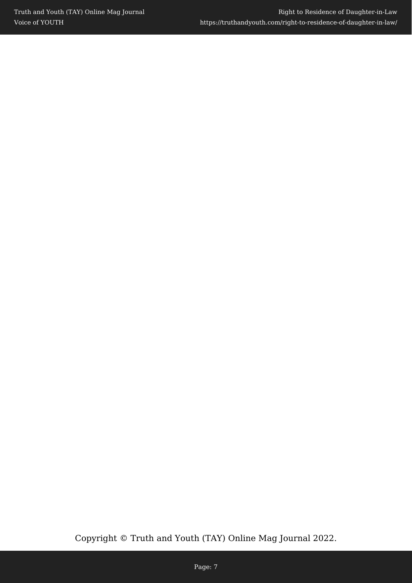Copyright © Truth and Youth (TAY) Online Mag Journal 2022.